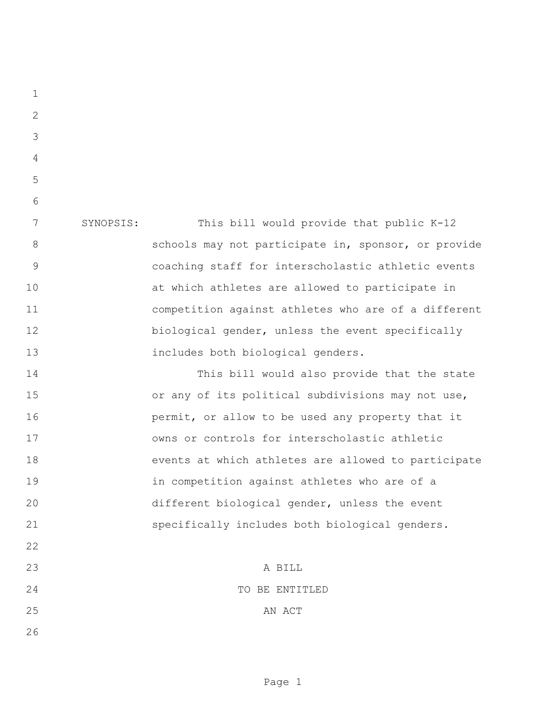SYNOPSIS: This bill would provide that public K-12 8 schools may not participate in, sponsor, or provide coaching staff for interscholastic athletic events at which athletes are allowed to participate in competition against athletes who are of a different biological gender, unless the event specifically includes both biological genders. This bill would also provide that the state or any of its political subdivisions may not use, **permit,** or allow to be used any property that it owns or controls for interscholastic athletic events at which athletes are allowed to participate in competition against athletes who are of a different biological gender, unless the event specifically includes both biological genders. A BILL TO BE ENTITLED 25 AN ACT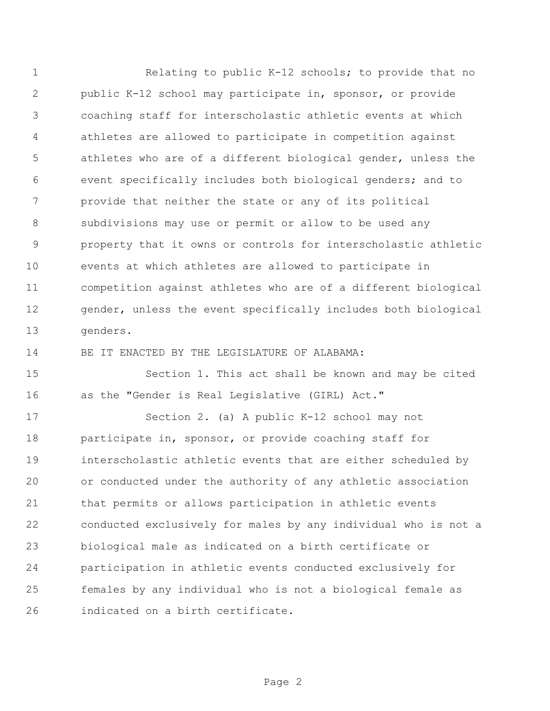Relating to public K-12 schools; to provide that no public K-12 school may participate in, sponsor, or provide coaching staff for interscholastic athletic events at which athletes are allowed to participate in competition against athletes who are of a different biological gender, unless the event specifically includes both biological genders; and to provide that neither the state or any of its political subdivisions may use or permit or allow to be used any property that it owns or controls for interscholastic athletic events at which athletes are allowed to participate in competition against athletes who are of a different biological gender, unless the event specifically includes both biological genders.

BE IT ENACTED BY THE LEGISLATURE OF ALABAMA:

 Section 1. This act shall be known and may be cited as the "Gender is Real Legislative (GIRL) Act."

 Section 2. (a) A public K-12 school may not 18 participate in, sponsor, or provide coaching staff for interscholastic athletic events that are either scheduled by or conducted under the authority of any athletic association that permits or allows participation in athletic events conducted exclusively for males by any individual who is not a biological male as indicated on a birth certificate or participation in athletic events conducted exclusively for females by any individual who is not a biological female as indicated on a birth certificate.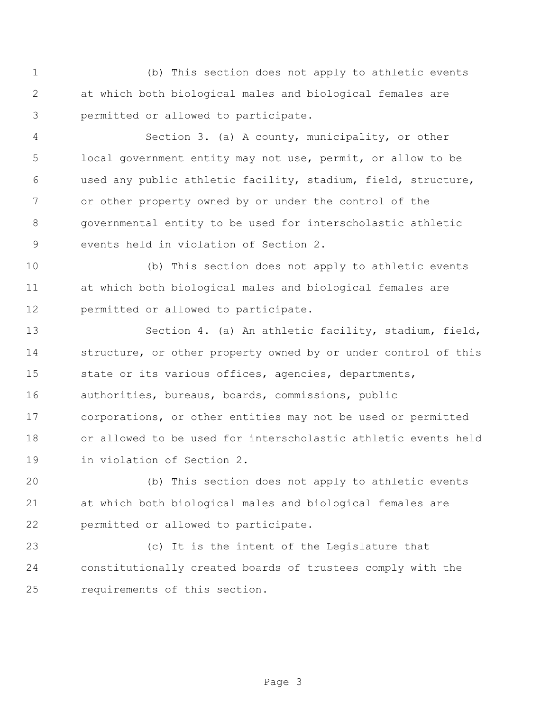(b) This section does not apply to athletic events at which both biological males and biological females are permitted or allowed to participate.

 Section 3. (a) A county, municipality, or other local government entity may not use, permit, or allow to be used any public athletic facility, stadium, field, structure, or other property owned by or under the control of the governmental entity to be used for interscholastic athletic events held in violation of Section 2.

 (b) This section does not apply to athletic events at which both biological males and biological females are permitted or allowed to participate.

 Section 4. (a) An athletic facility, stadium, field, structure, or other property owned by or under control of this 15 state or its various offices, agencies, departments, authorities, bureaus, boards, commissions, public corporations, or other entities may not be used or permitted or allowed to be used for interscholastic athletic events held in violation of Section 2.

 (b) This section does not apply to athletic events at which both biological males and biological females are permitted or allowed to participate.

 (c) It is the intent of the Legislature that constitutionally created boards of trustees comply with the requirements of this section.